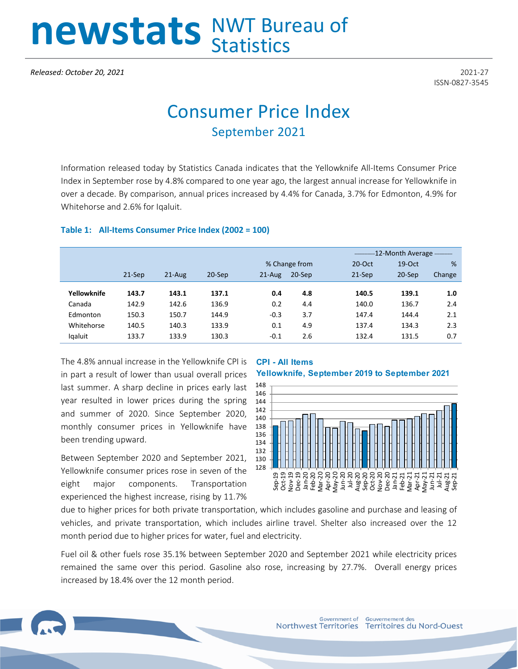# newstats NWT Bureau of

*Released: October 20, 2021* 2021-27

ISSN-0827-3545

## Consumer Price Index September 2021

Information released today by Statistics Canada indicates that the Yellowknife All-Items Consumer Price Index in September rose by 4.8% compared to one year ago, the largest annual increase for Yellowknife in over a decade. By comparison, annual prices increased by 4.4% for Canada, 3.7% for Edmonton, 4.9% for Whitehorse and 2.6% for Iqaluit.

## **Table 1: All-Items Consumer Price Index (2002 = 100)**

|             |          |            |           |            |               | -12-Month Average - |           |        |
|-------------|----------|------------|-----------|------------|---------------|---------------------|-----------|--------|
|             |          |            |           |            | % Change from | $20$ -Oct           | $19$ -Oct | %      |
|             | $21-Sep$ | $21 - Aug$ | $20-$ Sep | $21 - Aug$ | $20-$ Sep     | $21-Sep$            | $20-$ Sep | Change |
|             |          |            |           |            |               |                     |           |        |
| Yellowknife | 143.7    | 143.1      | 137.1     | 0.4        | 4.8           | 140.5               | 139.1     | 1.0    |
| Canada      | 142.9    | 142.6      | 136.9     | 0.2        | 4.4           | 140.0               | 136.7     | 2.4    |
| Edmonton    | 150.3    | 150.7      | 144.9     | $-0.3$     | 3.7           | 147.4               | 144.4     | 2.1    |
| Whitehorse  | 140.5    | 140.3      | 133.9     | 0.1        | 4.9           | 137.4               | 134.3     | 2.3    |
| lgaluit     | 133.7    | 133.9      | 130.3     | $-0.1$     | 2.6           | 132.4               | 131.5     | 0.7    |
|             |          |            |           |            |               |                     |           |        |

The 4.8% annual increase in the Yellowknife CPI is in part a result of lower than usual overall prices last summer. A sharp decline in prices early last year resulted in lower prices during the spring and summer of 2020. Since September 2020, monthly consumer prices in Yellowknife have been trending upward.

Between September 2020 and September 2021, Yellowknife consumer prices rose in seven of the eight major components. Transportation experienced the highest increase, rising by 11.7%

## **CPI - All Items**

#### **Yellowknife, September 2019 to September 2021**



due to higher prices for both private transportation, which includes gasoline and purchase and leasing of vehicles, and private transportation, which includes airline travel. Shelter also increased over the 12 month period due to higher prices for water, fuel and electricity.

Fuel oil & other fuels rose 35.1% between September 2020 and September 2021 while electricity prices remained the same over this period. Gasoline also rose, increasing by 27.7%. Overall energy prices increased by 18.4% over the 12 month period.